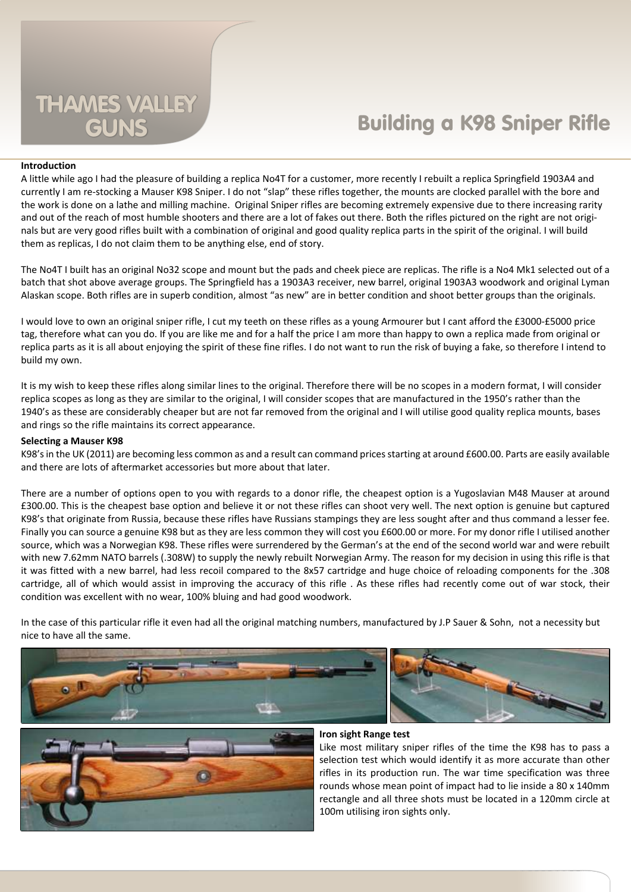# **Building a K98 Sniper Rifle**

## **Introduction**

A little while ago I had the pleasure of building a replica No4T for a customer, more recently I rebuilt a replica Springfield 1903A4 and currently I am re-stocking a Mauser K98 Sniper. I do not "slap" these rifles together, the mounts are clocked parallel with the bore and the work is done on a lathe and milling machine. Original Sniper rifles are becoming extremely expensive due to there increasing rarity and out of the reach of most humble shooters and there are a lot of fakes out there. Both the rifles pictured on the right are not originals but are very good rifles built with a combination of original and good quality replica parts in the spirit of the original. I will build them as replicas, I do not claim them to be anything else, end of story.

The No4T I built has an original No32 scope and mount but the pads and cheek piece are replicas. The rifle is a No4 Mk1 selected out of a batch that shot above average groups. The Springfield has a 1903A3 receiver, new barrel, original 1903A3 woodwork and original Lyman Alaskan scope. Both rifles are in superb condition, almost "as new" are in better condition and shoot better groups than the originals.

I would love to own an original sniper rifle, I cut my teeth on these rifles as a young Armourer but I cant afford the £3000-£5000 price tag, therefore what can you do. If you are like me and for a half the price I am more than happy to own a replica made from original or replica parts as it is all about enjoying the spirit of these fine rifles. I do not want to run the risk of buying a fake, so therefore I intend to build my own.

It is my wish to keep these rifles along similar lines to the original. Therefore there will be no scopes in a modern format, I will consider replica scopes as long as they are similar to the original, I will consider scopes that are manufactured in the 1950's rather than the 1940's as these are considerably cheaper but are not far removed from the original and I will utilise good quality replica mounts, bases and rings so the rifle maintains its correct appearance.

## **Selecting a Mauser K98**

K98's in the UK (2011) are becoming less common as and a result can command prices starting at around £600.00. Parts are easily available and there are lots of aftermarket accessories but more about that later.

There are a number of options open to you with regards to a donor rifle, the cheapest option is a Yugoslavian M48 Mauser at around £300.00. This is the cheapest base option and believe it or not these rifles can shoot very well. The next option is genuine but captured K98's that originate from Russia, because these rifles have Russians stampings they are less sought after and thus command a lesser fee. Finally you can source a genuine K98 but as they are less common they will cost you £600.00 or more. For my donor rifle I utilised another source, which was a Norwegian K98. These rifles were surrendered by the German's at the end of the second world war and were rebuilt with new 7.62mm NATO barrels (.308W) to supply the newly rebuilt Norwegian Army. The reason for my decision in using this rifle is that it was fitted with a new barrel, had less recoil compared to the 8x57 cartridge and huge choice of reloading components for the .308 cartridge, all of which would assist in improving the accuracy of this rifle . As these rifles had recently come out of war stock, their condition was excellent with no wear, 100% bluing and had good woodwork.

In the case of this particular rifle it even had all the original matching numbers, manufactured by J.P Sauer & Sohn, not a necessity but nice to have all the same.







#### **Iron sight Range test**

Like most military sniper rifles of the time the K98 has to pass a selection test which would identify it as more accurate than other rifles in its production run. The war time specification was three rounds whose mean point of impact had to lie inside a 80 x 140mm rectangle and all three shots must be located in a 120mm circle at 100m utilising iron sights only.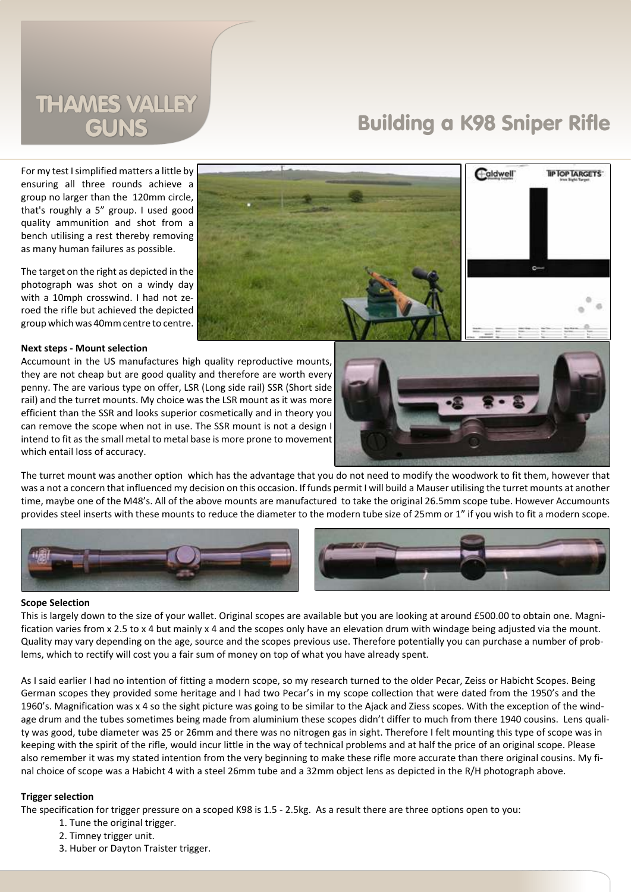# **THAMES VALLEY**

# **Building a K98 Sniper Rifle**

Caldwell

**TIP TOP TARGETS** 

For my test I simplified matters a little by ensuring all three rounds achieve a group no larger than the 120mm circle, that's roughly a 5" group. I used good quality ammunition and shot from a bench utilising a rest thereby removing as many human failures as possible.

The target on the right as depicted in the photograph was shot on a windy day with a 10mph crosswind. I had not zeroed the rifle but achieved the depicted group which was 40mm centre to centre.

## **Next steps - Mount selection**

Accumount in the US manufactures high quality reproductive mounts, they are not cheap but are good quality and therefore are worth every penny. The are various type on offer, LSR (Long side rail) SSR (Short side rail) and the turret mounts. My choice was the LSR mount as it was more efficient than the SSR and looks superior cosmetically and in theory you can remove the scope when not in use. The SSR mount is not a design I intend to fit as the small metal to metal base is more prone to movement which entail loss of accuracy.



The turret mount was another option which has the advantage that you do not need to modify the woodwork to fit them, however that was a not a concern that influenced my decision on this occasion. If funds permit I will build a Mauser utilising the turret mounts at another time, maybe one of the M48's. All of the above mounts are manufactured to take the original 26.5mm scope tube. However Accumounts provides steel inserts with these mounts to reduce the diameter to the modern tube size of 25mm or 1" if you wish to fit a modern scope.



## **Scope Selection**

This is largely down to the size of your wallet. Original scopes are available but you are looking at around £500.00 to obtain one. Magnification varies from x 2.5 to x 4 but mainly x 4 and the scopes only have an elevation drum with windage being adjusted via the mount. Quality may vary depending on the age, source and the scopes previous use. Therefore potentially you can purchase a number of problems, which to rectify will cost you a fair sum of money on top of what you have already spent.

As I said earlier I had no intention of fitting a modern scope, so my research turned to the older Pecar, Zeiss or Habicht Scopes. Being German scopes they provided some heritage and I had two Pecar's in my scope collection that were dated from the 1950's and the 1960's. Magnification was x 4 so the sight picture was going to be similar to the Ajack and Ziess scopes. With the exception of the windage drum and the tubes sometimes being made from aluminium these scopes didn't differ to much from there 1940 cousins. Lens quality was good, tube diameter was 25 or 26mm and there was no nitrogen gas in sight. Therefore I felt mounting this type of scope was in keeping with the spirit of the rifle, would incur little in the way of technical problems and at half the price of an original scope. Please also remember it was my stated intention from the very beginning to make these rifle more accurate than there original cousins. My final choice of scope was a Habicht 4 with a steel 26mm tube and a 32mm object lens as depicted in the R/H photograph above.

# **Trigger selection**

The specification for trigger pressure on a scoped K98 is 1.5 - 2.5kg. As a result there are three options open to you:

- 1. Tune the original trigger.
- 2. Timney trigger unit.
- 3. Huber or Dayton Traister trigger.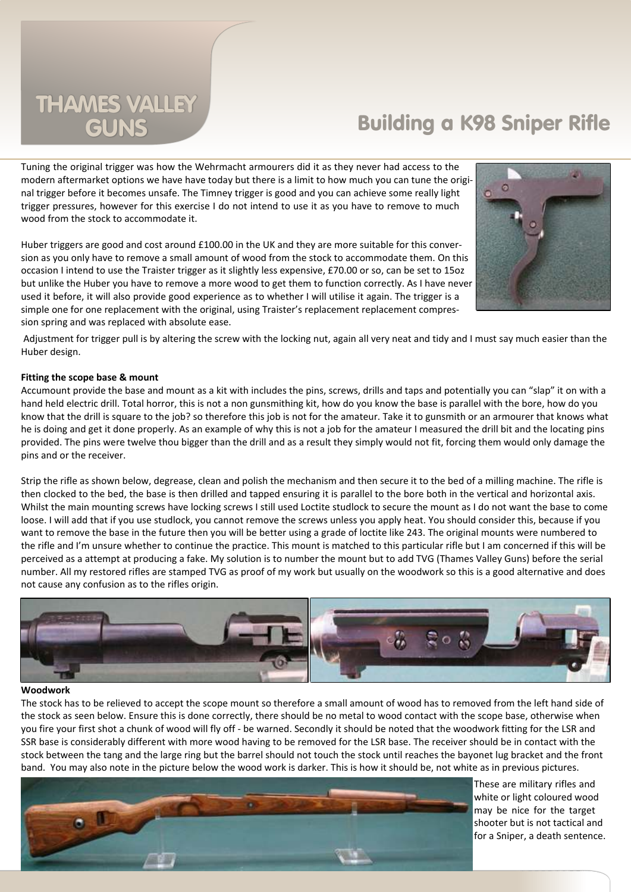# THAMES VALLEY

# GUNS Building a K98 Sniper Rifle

Tuning the original trigger was how the Wehrmacht armourers did it as they never had access to the modern aftermarket options we have have today but there is a limit to how much you can tune the original trigger before it becomes unsafe. The Timney trigger is good and you can achieve some really light trigger pressures, however for this exercise I do not intend to use it as you have to remove to much wood from the stock to accommodate it.

Huber triggers are good and cost around £100.00 in the UK and they are more suitable for this conversion as you only have to remove a small amount of wood from the stock to accommodate them. On this occasion I intend to use the Traister trigger as it slightly less expensive, £70.00 or so, can be set to 15oz but unlike the Huber you have to remove a more wood to get them to function correctly. As I have never used it before, it will also provide good experience as to whether I will utilise it again. The trigger is a simple one for one replacement with the original, using Traister's replacement replacement compression spring and was replaced with absolute ease.



 Adjustment for trigger pull is by altering the screw with the locking nut, again all very neat and tidy and I must say much easier than the Huber design.

# **Fitting the scope base & mount**

Accumount provide the base and mount as a kit with includes the pins, screws, drills and taps and potentially you can "slap" it on with a hand held electric drill. Total horror, this is not a non gunsmithing kit, how do you know the base is parallel with the bore, how do you know that the drill is square to the job? so therefore this job is not for the amateur. Take it to gunsmith or an armourer that knows what he is doing and get it done properly. As an example of why this is not a job for the amateur I measured the drill bit and the locating pins provided. The pins were twelve thou bigger than the drill and as a result they simply would not fit, forcing them would only damage the pins and or the receiver.

Strip the rifle as shown below, degrease, clean and polish the mechanism and then secure it to the bed of a milling machine. The rifle is then clocked to the bed, the base is then drilled and tapped ensuring it is parallel to the bore both in the vertical and horizontal axis. Whilst the main mounting screws have locking screws I still used Loctite studlock to secure the mount as I do not want the base to come loose. I will add that if you use studlock, you cannot remove the screws unless you apply heat. You should consider this, because if you want to remove the base in the future then you will be better using a grade of loctite like 243. The original mounts were numbered to the rifle and I'm unsure whether to continue the practice. This mount is matched to this particular rifle but I am concerned if this will be perceived as a attempt at producing a fake. My solution is to number the mount but to add TVG (Thames Valley Guns) before the serial number. All my restored rifles are stamped TVG as proof of my work but usually on the woodwork so this is a good alternative and does not cause any confusion as to the rifles origin.



# **Woodwork**

The stock has to be relieved to accept the scope mount so therefore a small amount of wood has to removed from the left hand side of the stock as seen below. Ensure this is done correctly, there should be no metal to wood contact with the scope base, otherwise when you fire your first shot a chunk of wood will fly off - be warned. Secondly it should be noted that the woodwork fitting for the LSR and SSR base is considerably different with more wood having to be removed for the LSR base. The receiver should be in contact with the stock between the tang and the large ring but the barrel should not touch the stock until reaches the bayonet lug bracket and the front band. You may also note in the picture below the wood work is darker. This is how it should be, not white as in previous pictures.



These are military rifles and white or light coloured wood may be nice for the target shooter but is not tactical and for a Sniper, a death sentence.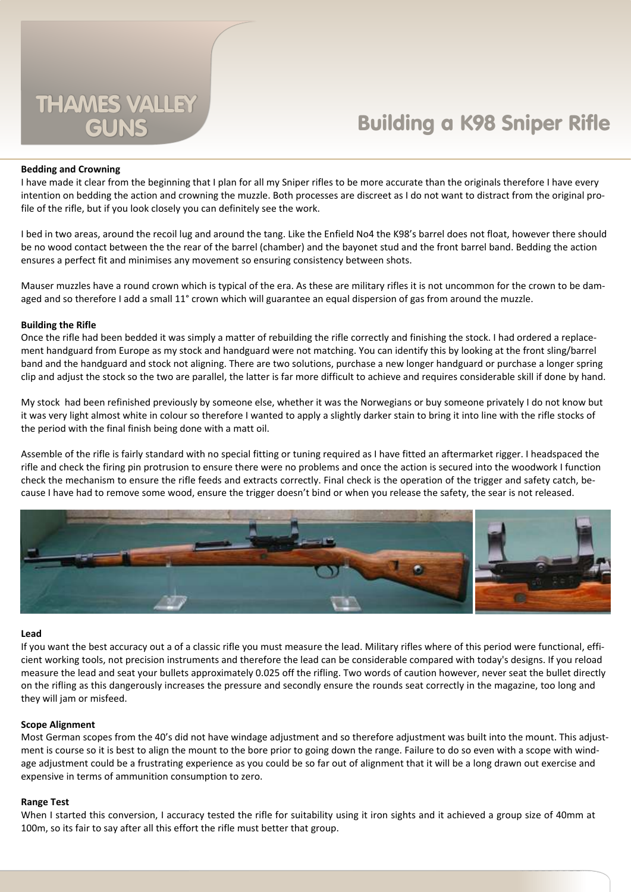# **Building a K98 Sniper Rifle**

## **Bedding and Crowning**

I have made it clear from the beginning that I plan for all my Sniper rifles to be more accurate than the originals therefore I have every intention on bedding the action and crowning the muzzle. Both processes are discreet as I do not want to distract from the original profile of the rifle, but if you look closely you can definitely see the work.

I bed in two areas, around the recoil lug and around the tang. Like the Enfield No4 the K98's barrel does not float, however there should be no wood contact between the the rear of the barrel (chamber) and the bayonet stud and the front barrel band. Bedding the action ensures a perfect fit and minimises any movement so ensuring consistency between shots.

Mauser muzzles have a round crown which is typical of the era. As these are military rifles it is not uncommon for the crown to be damaged and so therefore I add a small 11° crown which will guarantee an equal dispersion of gas from around the muzzle.

#### **Building the Rifle**

Once the rifle had been bedded it was simply a matter of rebuilding the rifle correctly and finishing the stock. I had ordered a replacement handguard from Europe as my stock and handguard were not matching. You can identify this by looking at the front sling/barrel band and the handguard and stock not aligning. There are two solutions, purchase a new longer handguard or purchase a longer spring clip and adjust the stock so the two are parallel, the latter is far more difficult to achieve and requires considerable skill if done by hand.

My stock had been refinished previously by someone else, whether it was the Norwegians or buy someone privately I do not know but it was very light almost white in colour so therefore I wanted to apply a slightly darker stain to bring it into line with the rifle stocks of the period with the final finish being done with a matt oil.

Assemble of the rifle is fairly standard with no special fitting or tuning required as I have fitted an aftermarket rigger. I headspaced the rifle and check the firing pin protrusion to ensure there were no problems and once the action is secured into the woodwork I function check the mechanism to ensure the rifle feeds and extracts correctly. Final check is the operation of the trigger and safety catch, because I have had to remove some wood, ensure the trigger doesn't bind or when you release the safety, the sear is not released.



#### **Lead**

If you want the best accuracy out a of a classic rifle you must measure the lead. Military rifles where of this period were functional, efficient working tools, not precision instruments and therefore the lead can be considerable compared with today's designs. If you reload measure the lead and seat your bullets approximately 0.025 off the rifling. Two words of caution however, never seat the bullet directly on the rifling as this dangerously increases the pressure and secondly ensure the rounds seat correctly in the magazine, too long and they will jam or misfeed.

#### **Scope Alignment**

Most German scopes from the 40's did not have windage adjustment and so therefore adjustment was built into the mount. This adjustment is course so it is best to align the mount to the bore prior to going down the range. Failure to do so even with a scope with windage adjustment could be a frustrating experience as you could be so far out of alignment that it will be a long drawn out exercise and expensive in terms of ammunition consumption to zero.

#### **Range Test**

When I started this conversion, I accuracy tested the rifle for suitability using it iron sights and it achieved a group size of 40mm at 100m, so its fair to say after all this effort the rifle must better that group.